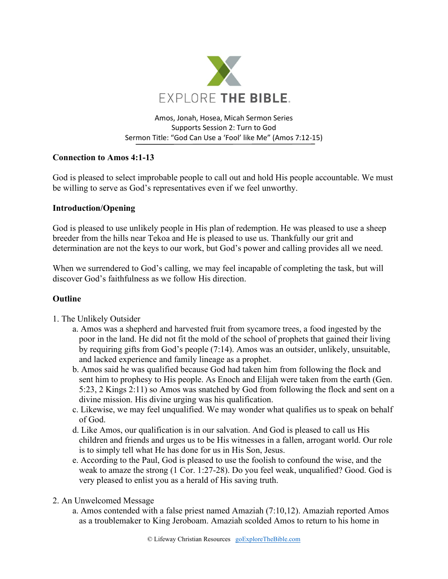

## Amos, Jonah, Hosea, Micah Sermon Series Supports Session 2: Turn to God Sermon Title: "God Can Use a 'Fool' like Me" (Amos 7:12-15)

# **Connection to Amos 4:1-13**

God is pleased to select improbable people to call out and hold His people accountable. We must be willing to serve as God's representatives even if we feel unworthy.

## **Introduction/Opening**

God is pleased to use unlikely people in His plan of redemption. He was pleased to use a sheep breeder from the hills near Tekoa and He is pleased to use us. Thankfully our grit and determination are not the keys to our work, but God's power and calling provides all we need.

When we surrendered to God's calling, we may feel incapable of completing the task, but will discover God's faithfulness as we follow His direction.

## **Outline**

- 1. The Unlikely Outsider
	- a. Amos was a shepherd and harvested fruit from sycamore trees, a food ingested by the poor in the land. He did not fit the mold of the school of prophets that gained their living by requiring gifts from God's people (7:14). Amos was an outsider, unlikely, unsuitable, and lacked experience and family lineage as a prophet.
	- b. Amos said he was qualified because God had taken him from following the flock and sent him to prophesy to His people. As Enoch and Elijah were taken from the earth (Gen. 5:23, 2 Kings 2:11) so Amos was snatched by God from following the flock and sent on a divine mission. His divine urging was his qualification.
	- c. Likewise, we may feel unqualified. We may wonder what qualifies us to speak on behalf of God.
	- d. Like Amos, our qualification is in our salvation. And God is pleased to call us His children and friends and urges us to be His witnesses in a fallen, arrogant world. Our role is to simply tell what He has done for us in His Son, Jesus.
	- e. According to the Paul, God is pleased to use the foolish to confound the wise, and the weak to amaze the strong (1 Cor. 1:27-28). Do you feel weak, unqualified? Good. God is very pleased to enlist you as a herald of His saving truth.
- 2. An Unwelcomed Message
	- a. Amos contended with a false priest named Amaziah (7:10,12). Amaziah reported Amos as a troublemaker to King Jeroboam. Amaziah scolded Amos to return to his home in